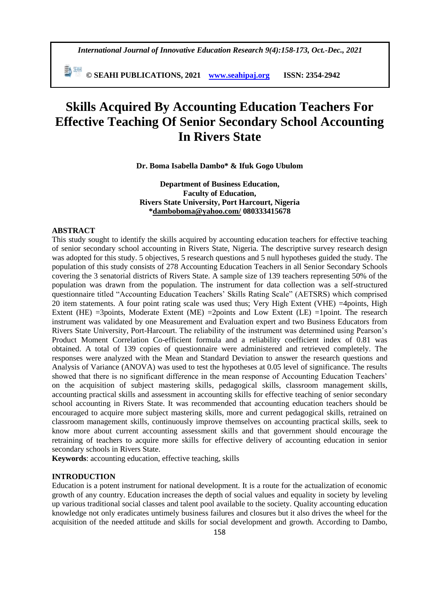*International Journal of Innovative Education Research 9(4):158-173, Oct.-Dec., 2021*

 **© SEAHI PUBLICATIONS, 2021 [www.seahipaj.org](http://www.seahipaj.org/) ISSN: 2354-2942**

# **Skills Acquired By Accounting Education Teachers For Effective Teaching Of Senior Secondary School Accounting In Rivers State**

**Dr. Boma Isabella Dambo\* & Ifuk Gogo Ubulom**

**Department of Business Education, Faculty of Education, Rivers State University, Port Harcourt, Nigeria [\\*damboboma@yahoo.com/](mailto:damboboma@yahoo.com/) 080333415678**

#### **ABSTRACT**

This study sought to identify the skills acquired by accounting education teachers for effective teaching of senior secondary school accounting in Rivers State, Nigeria. The descriptive survey research design was adopted for this study. 5 objectives, 5 research questions and 5 null hypotheses guided the study. The population of this study consists of 278 Accounting Education Teachers in all Senior Secondary Schools covering the 3 senatorial districts of Rivers State. A sample size of 139 teachers representing 50% of the population was drawn from the population. The instrument for data collection was a self-structured questionnaire titled "Accounting Education Teachers' Skills Rating Scale" (AETSRS) which comprised 20 item statements. A four point rating scale was used thus; Very High Extent (VHE) =4points, High Extent (HE)  $=3$ points, Moderate Extent (ME)  $=2$ points and Low Extent (LE)  $=1$ point. The research instrument was validated by one Measurement and Evaluation expert and two Business Educators from Rivers State University, Port-Harcourt. The reliability of the instrument was determined using Pearson's Product Moment Correlation Co-efficient formula and a reliability coefficient index of 0.81 was obtained. A total of 139 copies of questionnaire were administered and retrieved completely. The responses were analyzed with the Mean and Standard Deviation to answer the research questions and Analysis of Variance (ANOVA) was used to test the hypotheses at 0.05 level of significance. The results showed that there is no significant difference in the mean response of Accounting Education Teachers' on the acquisition of subject mastering skills, pedagogical skills, classroom management skills, accounting practical skills and assessment in accounting skills for effective teaching of senior secondary school accounting in Rivers State. It was recommended that accounting education teachers should be encouraged to acquire more subject mastering skills, more and current pedagogical skills, retrained on classroom management skills, continuously improve themselves on accounting practical skills, seek to know more about current accounting assessment skills and that government should encourage the retraining of teachers to acquire more skills for effective delivery of accounting education in senior secondary schools in Rivers State.

**Keywords**: accounting education, effective teaching, skills

# **INTRODUCTION**

Education is a potent instrument for national development. It is a route for the actualization of economic growth of any country. Education increases the depth of social values and equality in society by leveling up various traditional social classes and talent pool available to the society. Quality accounting education knowledge not only eradicates untimely business failures and closures but it also drives the wheel for the acquisition of the needed attitude and skills for social development and growth. According to Dambo,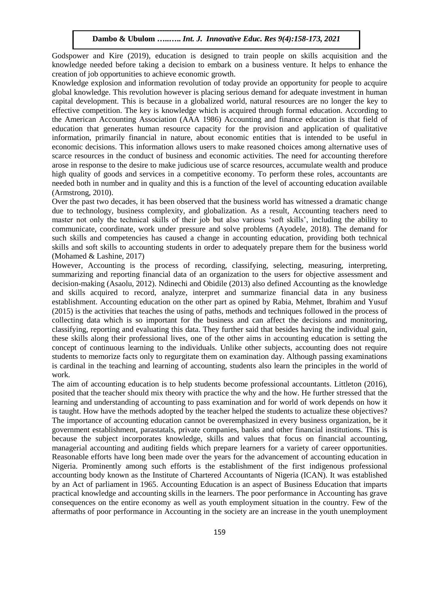Godspower and Kire (2019), education is designed to train people on skills acquisition and the knowledge needed before taking a decision to embark on a business venture. It helps to enhance the creation of job opportunities to achieve economic growth.

Knowledge explosion and information revolution of today provide an opportunity for people to acquire global knowledge. This revolution however is placing serious demand for adequate investment in human capital development. This is because in a globalized world, natural resources are no longer the key to effective competition. The key is knowledge which is acquired through formal education. According to the American Accounting Association (AAA 1986) Accounting and finance education is that field of education that generates human resource capacity for the provision and application of qualitative information, primarily financial in nature, about economic entities that is intended to be useful in economic decisions. This information allows users to make reasoned choices among alternative uses of scarce resources in the conduct of business and economic activities. The need for accounting therefore arose in response to the desire to make judicious use of scarce resources, accumulate wealth and produce high quality of goods and services in a competitive economy. To perform these roles, accountants are needed both in number and in quality and this is a function of the level of accounting education available (Armstrong, 2010).

Over the past two decades, it has been observed that the business world has witnessed a dramatic change due to technology, business complexity, and globalization. As a result, Accounting teachers need to master not only the technical skills of their job but also various 'soft skills', including the ability to communicate, coordinate, work under pressure and solve problems (Ayodele, 2018). The demand for such skills and competencies has caused a change in accounting education, providing both technical skills and soft skills to accounting students in order to adequately prepare them for the business world (Mohamed & Lashine, 2017)

However, Accounting is the process of recording, classifying, selecting, measuring, interpreting, summarizing and reporting financial data of an organization to the users for objective assessment and decision-making (Asaolu, 2012). Ndinechi and Obidile (2013) also defined Accounting as the knowledge and skills acquired to record, analyze, interpret and summarize financial data in any business establishment. Accounting education on the other part as opined by Rabia, Mehmet, Ibrahim and Yusuf (2015) is the activities that teaches the using of paths, methods and techniques followed in the process of collecting data which is so important for the business and can affect the decisions and monitoring, classifying, reporting and evaluating this data. They further said that besides having the individual gain, these skills along their professional lives, one of the other aims in accounting education is setting the concept of continuous learning to the individuals. Unlike other subjects, accounting does not require students to memorize facts only to regurgitate them on examination day. Although passing examinations is cardinal in the teaching and learning of accounting, students also learn the principles in the world of work.

The aim of accounting education is to help students become professional accountants. Littleton (2016), posited that the teacher should mix theory with practice the why and the how. He further stressed that the learning and understanding of accounting to pass examination and for world of work depends on how it is taught. How have the methods adopted by the teacher helped the students to actualize these objectives? The importance of accounting education cannot be overemphasized in every business organization, be it government establishment, parastatals, private companies, banks and other financial institutions. This is because the subject incorporates knowledge, skills and values that focus on financial accounting, managerial accounting and auditing fields which prepare learners for a variety of career opportunities. Reasonable efforts have long been made over the years for the advancement of accounting education in Nigeria. Prominently among such efforts is the establishment of the first indigenous professional accounting body known as the Institute of Chartered Accountants of Nigeria (ICAN). It was established by an Act of parliament in 1965. Accounting Education is an aspect of Business Education that imparts practical knowledge and accounting skills in the learners. The poor performance in Accounting has grave consequences on the entire economy as well as youth employment situation in the country. Few of the aftermaths of poor performance in Accounting in the society are an increase in the youth unemployment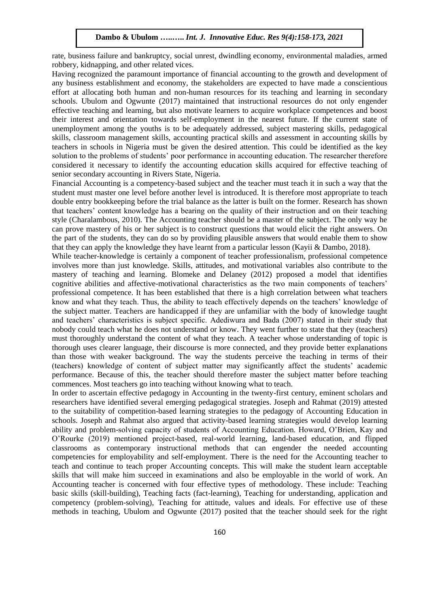rate, business failure and bankruptcy, social unrest, dwindling economy, environmental maladies, armed robbery, kidnapping, and other related vices.

Having recognized the paramount importance of financial accounting to the growth and development of any business establishment and economy, the stakeholders are expected to have made a conscientious effort at allocating both human and non-human resources for its teaching and learning in secondary schools. Ubulom and Ogwunte (2017) maintained that instructional resources do not only engender effective teaching and learning, but also motivate learners to acquire workplace competences and boost their interest and orientation towards self-employment in the nearest future. If the current state of unemployment among the youths is to be adequately addressed, subject mastering skills, pedagogical skills, classroom management skills, accounting practical skills and assessment in accounting skills by teachers in schools in Nigeria must be given the desired attention. This could be identified as the key solution to the problems of students' poor performance in accounting education. The researcher therefore considered it necessary to identify the accounting education skills acquired for effective teaching of senior secondary accounting in Rivers State, Nigeria.

Financial Accounting is a competency-based subject and the teacher must teach it in such a way that the student must master one level before another level is introduced. It is therefore most appropriate to teach double entry bookkeeping before the trial balance as the latter is built on the former. Research has shown that teachers' content knowledge has a bearing on the quality of their instruction and on their teaching style (Charalambous, 2010). The Accounting teacher should be a master of the subject. The only way he can prove mastery of his or her subject is to construct questions that would elicit the right answers. On the part of the students, they can do so by providing plausible answers that would enable them to show that they can apply the knowledge they have learnt from a particular lesson (Kayii & Dambo, 2018).

While teacher-knowledge is certainly a component of teacher professionalism, professional competence involves more than just knowledge. Skills, attitudes, and motivational variables also contribute to the mastery of teaching and learning. Blomeke and Delaney (2012) proposed a model that identifies cognitive abilities and affective-motivational characteristics as the two main components of teachers' professional competence. It has been established that there is a high correlation between what teachers know and what they teach. Thus, the ability to teach effectively depends on the teachers' knowledge of the subject matter. Teachers are handicapped if they are unfamiliar with the body of knowledge taught and teachers' characteristics is subject specific. Adediwura and Bada (2007) stated in their study that nobody could teach what he does not understand or know. They went further to state that they (teachers) must thoroughly understand the content of what they teach. A teacher whose understanding of topic is thorough uses clearer language, their discourse is more connected, and they provide better explanations than those with weaker background. The way the students perceive the teaching in terms of their (teachers) knowledge of content of subject matter may significantly affect the students' academic performance. Because of this, the teacher should therefore master the subject matter before teaching commences. Most teachers go into teaching without knowing what to teach.

In order to ascertain effective pedagogy in Accounting in the twenty-first century, eminent scholars and researchers have identified several emerging pedagogical strategies. Joseph and Rahmat (2019) attested to the suitability of competition-based learning strategies to the pedagogy of Accounting Education in schools. Joseph and Rahmat also argued that activity-based learning strategies would develop learning ability and problem-solving capacity of students of Accounting Education. Howard, O'Brien, Kay and O'Rourke (2019) mentioned project-based, real-world learning, land-based education, and flipped classrooms as contemporary instructional methods that can engender the needed accounting competencies for employability and self-employment. There is the need for the Accounting teacher to teach and continue to teach proper Accounting concepts. This will make the student learn acceptable skills that will make him succeed in examinations and also be employable in the world of work. An Accounting teacher is concerned with four effective types of methodology. These include: Teaching basic skills (skill-building), Teaching facts (fact-learning), Teaching for understanding, application and competency (problem-solving), Teaching for attitude, values and ideals. For effective use of these methods in teaching, Ubulom and Ogwunte (2017) posited that the teacher should seek for the right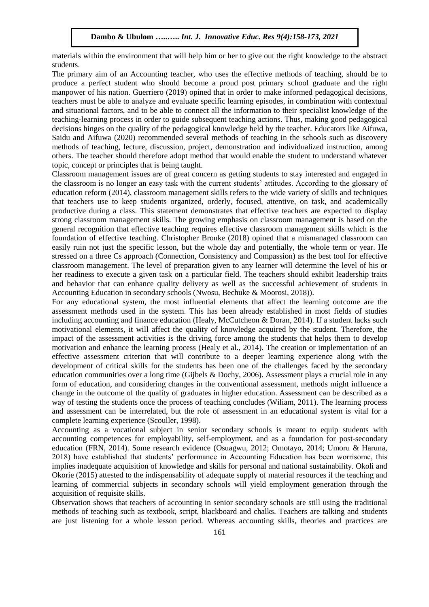materials within the environment that will help him or her to give out the right knowledge to the abstract students.

The primary aim of an Accounting teacher, who uses the effective methods of teaching, should be to produce a perfect student who should become a proud post primary school graduate and the right manpower of his nation. Guerriero (2019) opined that in order to make informed pedagogical decisions, teachers must be able to analyze and evaluate specific learning episodes, in combination with contextual and situational factors, and to be able to connect all the information to their specialist knowledge of the teaching-learning process in order to guide subsequent teaching actions. Thus, making good pedagogical decisions hinges on the quality of the pedagogical knowledge held by the teacher. Educators like Aifuwa, Saidu and Aifuwa (2020) recommended several methods of teaching in the schools such as discovery methods of teaching, lecture, discussion, project, demonstration and individualized instruction, among others. The teacher should therefore adopt method that would enable the student to understand whatever topic, concept or principles that is being taught.

Classroom management issues are of great concern as getting students to stay interested and engaged in the classroom is no longer an easy task with the current students' attitudes. According to the glossary of education reform (2014), classroom management skills refers to the wide variety of skills and techniques that teachers use to keep students organized, orderly, focused, attentive, on task, and academically productive during a class. This statement demonstrates that effective teachers are expected to display strong classroom management skills. The growing emphasis on classroom management is based on the general recognition that effective teaching requires effective classroom management skills which is the foundation of effective teaching. Christopher Bronke (2018) opined that a mismanaged classroom can easily ruin not just the specific lesson, but the whole day and potentially, the whole term or year. He stressed on a three Cs approach (Connection, Consistency and Compassion) as the best tool for effective classroom management. The level of preparation given to any learner will determine the level of his or her readiness to execute a given task on a particular field. The teachers should exhibit leadership traits and behavior that can enhance quality delivery as well as the successful achievement of students in Accounting Education in secondary schools (Nwosu, Bechuke & Moorosi, 2018)).

For any educational system, the most influential elements that affect the learning outcome are the assessment methods used in the system. This has been already established in most fields of studies including accounting and finance education (Healy, McCutcheon & Doran, 2014). If a student lacks such motivational elements, it will affect the quality of knowledge acquired by the student. Therefore, the impact of the assessment activities is the driving force among the students that helps them to develop motivation and enhance the learning process (Healy et al., 2014). The creation or implementation of an effective assessment criterion that will contribute to a deeper learning experience along with the development of critical skills for the students has been one of the challenges faced by the secondary education communities over a long time (Gijbels & Dochy, 2006). Assessment plays a crucial role in any form of education, and considering changes in the conventional assessment, methods might influence a change in the outcome of the quality of graduates in higher education. Assessment can be described as a way of testing the students once the process of teaching concludes (Wiliam, 2011). The learning process and assessment can be interrelated, but the role of assessment in an educational system is vital for a complete learning experience (Scouller, 1998).

Accounting as a vocational subject in senior secondary schools is meant to equip students with accounting competences for employability, self-employment, and as a foundation for post-secondary education (FRN, 2014). Some research evidence (Osuagwu, 2012; Omotayo, 2014; Umoru & Haruna, 2018) have established that students' performance in Accounting Education has been worrisome, this implies inadequate acquisition of knowledge and skills for personal and national sustainability. Okoli and Okorie (2015) attested to the indispensability of adequate supply of material resources if the teaching and learning of commercial subjects in secondary schools will yield employment generation through the acquisition of requisite skills.

Observation shows that teachers of accounting in senior secondary schools are still using the traditional methods of teaching such as textbook, script, blackboard and chalks. Teachers are talking and students are just listening for a whole lesson period. Whereas accounting skills, theories and practices are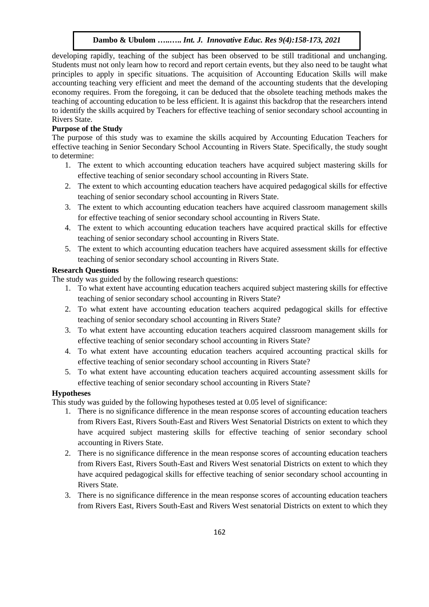developing rapidly, teaching of the subject has been observed to be still traditional and unchanging. Students must not only learn how to record and report certain events, but they also need to be taught what principles to apply in specific situations. The acquisition of Accounting Education Skills will make accounting teaching very efficient and meet the demand of the accounting students that the developing economy requires. From the foregoing, it can be deduced that the obsolete teaching methods makes the teaching of accounting education to be less efficient. It is against this backdrop that the researchers intend to identify the skills acquired by Teachers for effective teaching of senior secondary school accounting in Rivers State.

## **Purpose of the Study**

The purpose of this study was to examine the skills acquired by Accounting Education Teachers for effective teaching in Senior Secondary School Accounting in Rivers State. Specifically, the study sought to determine:

- 1. The extent to which accounting education teachers have acquired subject mastering skills for effective teaching of senior secondary school accounting in Rivers State.
- 2. The extent to which accounting education teachers have acquired pedagogical skills for effective teaching of senior secondary school accounting in Rivers State.
- 3. The extent to which accounting education teachers have acquired classroom management skills for effective teaching of senior secondary school accounting in Rivers State.
- 4. The extent to which accounting education teachers have acquired practical skills for effective teaching of senior secondary school accounting in Rivers State.
- 5. The extent to which accounting education teachers have acquired assessment skills for effective teaching of senior secondary school accounting in Rivers State.

## **Research Questions**

The study was guided by the following research questions:

- 1. To what extent have accounting education teachers acquired subject mastering skills for effective teaching of senior secondary school accounting in Rivers State?
- 2. To what extent have accounting education teachers acquired pedagogical skills for effective teaching of senior secondary school accounting in Rivers State?
- 3. To what extent have accounting education teachers acquired classroom management skills for effective teaching of senior secondary school accounting in Rivers State?
- 4. To what extent have accounting education teachers acquired accounting practical skills for effective teaching of senior secondary school accounting in Rivers State?
- 5. To what extent have accounting education teachers acquired accounting assessment skills for effective teaching of senior secondary school accounting in Rivers State?

# **Hypotheses**

This study was guided by the following hypotheses tested at 0.05 level of significance:

- 1. There is no significance difference in the mean response scores of accounting education teachers from Rivers East, Rivers South-East and Rivers West Senatorial Districts on extent to which they have acquired subject mastering skills for effective teaching of senior secondary school accounting in Rivers State.
- 2. There is no significance difference in the mean response scores of accounting education teachers from Rivers East, Rivers South-East and Rivers West senatorial Districts on extent to which they have acquired pedagogical skills for effective teaching of senior secondary school accounting in Rivers State.
- 3. There is no significance difference in the mean response scores of accounting education teachers from Rivers East, Rivers South-East and Rivers West senatorial Districts on extent to which they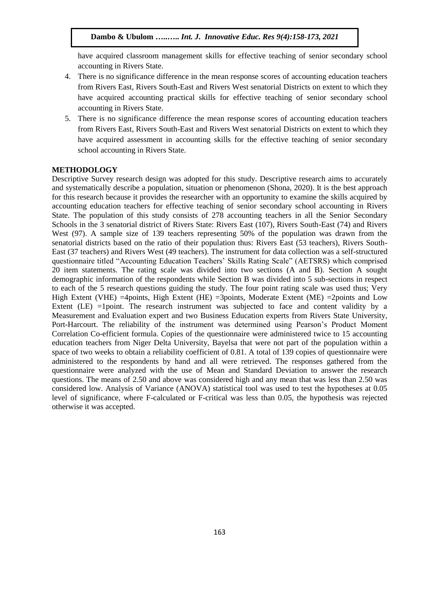have acquired classroom management skills for effective teaching of senior secondary school accounting in Rivers State.

- 4. There is no significance difference in the mean response scores of accounting education teachers from Rivers East, Rivers South-East and Rivers West senatorial Districts on extent to which they have acquired accounting practical skills for effective teaching of senior secondary school accounting in Rivers State.
- 5. There is no significance difference the mean response scores of accounting education teachers from Rivers East, Rivers South-East and Rivers West senatorial Districts on extent to which they have acquired assessment in accounting skills for the effective teaching of senior secondary school accounting in Rivers State.

## **METHODOLOGY**

Descriptive Survey research design was adopted for this study. Descriptive research aims to accurately and systematically describe a population, situation or phenomenon (Shona, 2020). It is the best approach for this research because it provides the researcher with an opportunity to examine the skills acquired by accounting education teachers for effective teaching of senior secondary school accounting in Rivers State. The population of this study consists of 278 accounting teachers in all the Senior Secondary Schools in the 3 senatorial district of Rivers State: Rivers East (107), Rivers South-East (74) and Rivers West (97). A sample size of 139 teachers representing 50% of the population was drawn from the senatorial districts based on the ratio of their population thus: Rivers East (53 teachers), Rivers South-East (37 teachers) and Rivers West (49 teachers). The instrument for data collection was a self-structured questionnaire titled "Accounting Education Teachers' Skills Rating Scale" (AETSRS) which comprised 20 item statements. The rating scale was divided into two sections (A and B). Section A sought demographic information of the respondents while Section B was divided into 5 sub-sections in respect to each of the 5 research questions guiding the study. The four point rating scale was used thus; Very High Extent (VHE) =4points, High Extent (HE) =3points, Moderate Extent (ME) =2points and Low Extent (LE) =1point. The research instrument was subjected to face and content validity by a Measurement and Evaluation expert and two Business Education experts from Rivers State University, Port-Harcourt. The reliability of the instrument was determined using Pearson's Product Moment Correlation Co-efficient formula. Copies of the questionnaire were administered twice to 15 accounting education teachers from Niger Delta University, Bayelsa that were not part of the population within a space of two weeks to obtain a reliability coefficient of 0.81. A total of 139 copies of questionnaire were administered to the respondents by hand and all were retrieved. The responses gathered from the questionnaire were analyzed with the use of Mean and Standard Deviation to answer the research questions. The means of 2.50 and above was considered high and any mean that was less than 2.50 was considered low. Analysis of Variance (ANOVA) statistical tool was used to test the hypotheses at 0.05 level of significance, where F-calculated or F-critical was less than 0.05, the hypothesis was rejected otherwise it was accepted.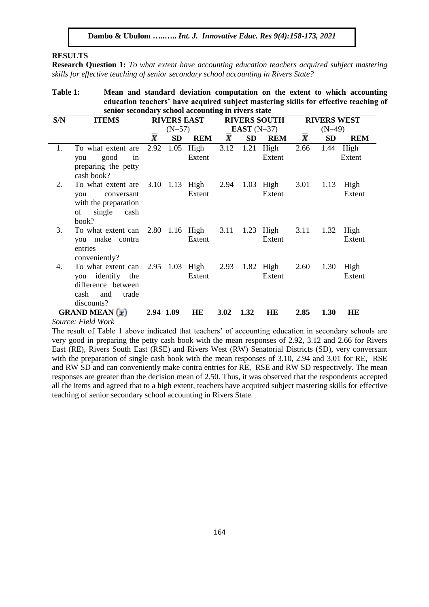## **RESULTS**

**Research Question 1:** *To what extent have accounting education teachers acquired subject mastering skills for effective teaching of senior secondary school accounting in Rivers State?*

| Table 1: | Mean and standard deviation computation on the extent to which accounting            |
|----------|--------------------------------------------------------------------------------------|
|          | education teachers' have acquired subject mastering skills for effective teaching of |
|          | senior secondary school accounting in rivers state                                   |

| S/N    | <b>ITEMS</b>                                                                                                                     | <b>RIVERS EAST</b> |          |                                         |                    |           | <b>RIVERS SOUTH</b>   | <b>RIVERS WEST</b> |           |                     |
|--------|----------------------------------------------------------------------------------------------------------------------------------|--------------------|----------|-----------------------------------------|--------------------|-----------|-----------------------|--------------------|-----------|---------------------|
|        |                                                                                                                                  |                    | $(N=57)$ |                                         |                    |           | <b>EAST</b> $(N=37)$  |                    | $(N=49)$  |                     |
|        |                                                                                                                                  | $\bar{\pmb{\chi}}$ | SD       | <b>REM</b>                              | $\bar{\textbf{x}}$ | <b>SD</b> | <b>REM</b>            | $\bar{\textbf{x}}$ | <b>SD</b> | <b>REM</b>          |
| 1.     | To what extent are<br>good<br>in<br>you<br>preparing the petty<br>cash book?                                                     | 2.92               |          | $1.05$ High<br>Extent                   | 3.12               |           | $1.21$ High<br>Extent | 2.66               |           | 1.44 High<br>Extent |
| 2.     | To what extent are<br>you<br>conversant<br>with the preparation<br>of<br>single cash<br>book?                                    |                    |          | 3.10 1.13 High 2.94 1.03 High<br>Extent |                    |           | Extent                | 3.01               | 1.13      | High<br>Extent      |
| 3.     | To what extent can<br>you make contra<br>entries<br>conveniently?                                                                |                    |          | 2.80 1.16 High<br>Extent                | 3.11               |           | $1.23$ High<br>Extent | 3.11               | 1.32      | High<br>Extent      |
| 4.     | To what extent can 2.95 1.03 High 2.93 1.82 High<br>you identify the<br>difference between<br>cash<br>trade<br>and<br>discounts? |                    |          | Extent                                  |                    |           | Extent                | 2.60               | 1.30      | High<br>Extent      |
| $\sim$ | <b>GRAND MEAN</b> $(\bar{x})$                                                                                                    | 2.94 1.09          |          | <b>HE</b>                               | 3.02               | 1.32      | HE                    | 2.85               | 1.30      | HE                  |

*Source: Field Work*

The result of Table 1 above indicated that teachers' of accounting education in secondary schools are very good in preparing the petty cash book with the mean responses of 2.92, 3.12 and 2.66 for Rivers East (RE), Rivers South East (RSE) and Rivers West (RW) Senatorial Districts (SD), very conversant with the preparation of single cash book with the mean responses of 3.10, 2.94 and 3.01 for RE, RSE and RW SD and can conveniently make contra entries for RE, RSE and RW SD respectively. The mean responses are greater than the decision mean of 2.50. Thus, it was observed that the respondents accepted all the items and agreed that to a high extent, teachers have acquired subject mastering skills for effective teaching of senior secondary school accounting in Rivers State.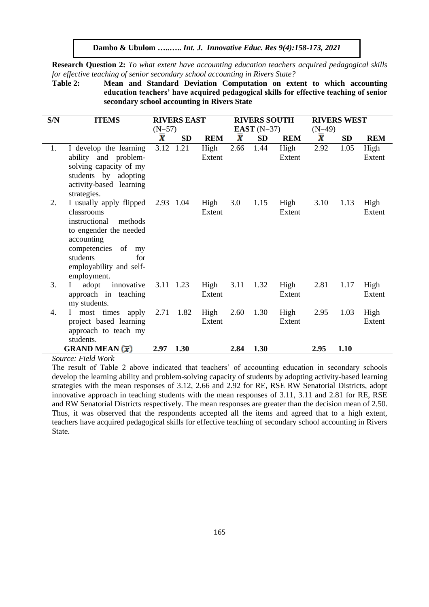**Research Question 2:** *To what extent have accounting education teachers acquired pedagogical skills for effective teaching of senior secondary school accounting in Rivers State?*

**Table 2: Mean and Standard Deviation Computation on extent to which accounting education teachers' have acquired pedagogical skills for effective teaching of senior secondary school accounting in Rivers State**

| S/N    | <b>ITEMS</b>                             | <b>RIVERS EAST</b> |           |                |                    | <b>RIVERS SOUTH</b> |                | <b>RIVERS WEST</b> |           |                |  |
|--------|------------------------------------------|--------------------|-----------|----------------|--------------------|---------------------|----------------|--------------------|-----------|----------------|--|
|        |                                          | $(N=57)$           |           |                |                    | EAST $(N=37)$       |                | $(N=49)$           |           |                |  |
|        |                                          | $\bar{\textbf{x}}$ | <b>SD</b> | <b>REM</b>     | $\bar{\textbf{x}}$ | <b>SD</b>           | <b>REM</b>     | $\bar{\textbf{x}}$ | <b>SD</b> | <b>REM</b>     |  |
| 1.     | I develop the learning                   |                    | 3.12 1.21 | High           | 2.66               | 1.44                | High           | 2.92               | 1.05      | High           |  |
|        | ability and problem-                     |                    |           | Extent         |                    |                     | Extent         |                    |           | Extent         |  |
|        | solving capacity of my                   |                    |           |                |                    |                     |                |                    |           |                |  |
|        | students by adopting                     |                    |           |                |                    |                     |                |                    |           |                |  |
|        | activity-based learning                  |                    |           |                |                    |                     |                |                    |           |                |  |
|        | strategies.                              |                    |           |                |                    |                     |                |                    |           |                |  |
| 2.     | I usually apply flipped<br>classrooms    |                    | 2.93 1.04 | High<br>Extent | 3.0                | 1.15                | High<br>Extent | 3.10               | 1.13      | High<br>Extent |  |
|        | instructional<br>methods                 |                    |           |                |                    |                     |                |                    |           |                |  |
|        | to engender the needed                   |                    |           |                |                    |                     |                |                    |           |                |  |
|        | accounting                               |                    |           |                |                    |                     |                |                    |           |                |  |
|        | competencies of<br>my                    |                    |           |                |                    |                     |                |                    |           |                |  |
|        | students<br>for                          |                    |           |                |                    |                     |                |                    |           |                |  |
|        | employability and self-                  |                    |           |                |                    |                     |                |                    |           |                |  |
|        | employment.                              |                    |           |                |                    |                     |                |                    |           |                |  |
| 3.     | adopt<br>innovative<br>$\mathbf{L}$      |                    | 3.11 1.23 | High           | 3.11               | 1.32                | High           | 2.81               | 1.17      | High           |  |
|        | approach in teaching                     |                    |           | Extent         |                    |                     | Extent         |                    |           | Extent         |  |
|        | my students.                             |                    |           |                |                    |                     |                |                    |           |                |  |
| 4.     | most times apply<br>$\mathbf{I}$         | 2.71               | 1.82      | High           | 2.60               | 1.30                | High           | 2.95               | 1.03      | High           |  |
|        | project based learning                   |                    |           | Extent         |                    |                     | Extent         |                    |           | Extent         |  |
|        | approach to teach my<br>students.        |                    |           |                |                    |                     |                |                    |           |                |  |
|        | <b>GRAND MEAN</b> $(\bar{x})$            | 2.97               | 1.30      |                | 2.84               | 1.30                |                | 2.95               | 1.10      |                |  |
| $\sim$ | $T'$ $\cdots$ $\cdots$ $\cdots$ $\cdots$ |                    |           |                |                    |                     |                |                    |           |                |  |

*Source: Field Work*

The result of Table 2 above indicated that teachers' of accounting education in secondary schools develop the learning ability and problem-solving capacity of students by adopting activity-based learning strategies with the mean responses of 3.12, 2.66 and 2.92 for RE, RSE RW Senatorial Districts, adopt innovative approach in teaching students with the mean responses of 3.11, 3.11 and 2.81 for RE, RSE and RW Senatorial Districts respectively. The mean responses are greater than the decision mean of 2.50. Thus, it was observed that the respondents accepted all the items and agreed that to a high extent, teachers have acquired pedagogical skills for effective teaching of secondary school accounting in Rivers State.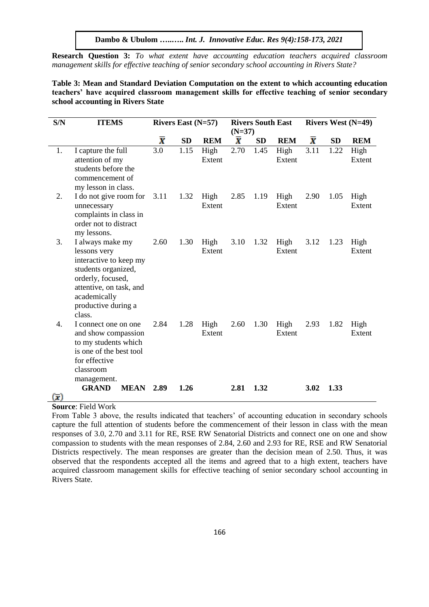**Research Question 3:** *To what extent have accounting education teachers acquired classroom management skills for effective teaching of senior secondary school accounting in Rivers State?*

## **Table 3: Mean and Standard Deviation Computation on the extent to which accounting education teachers' have acquired classroom management skills for effective teaching of senior secondary school accounting in Rivers State**

| S/N                       | <b>ITEMS</b>                                    | Rivers East $(N=57)$ |           |            | <b>Rivers South East</b> |           | <b>Rivers West (N=49)</b> |                    |           |            |
|---------------------------|-------------------------------------------------|----------------------|-----------|------------|--------------------------|-----------|---------------------------|--------------------|-----------|------------|
|                           |                                                 |                      |           |            | $(N=37)$                 |           |                           |                    |           |            |
|                           |                                                 | $\bar{\textbf{x}}$   | <b>SD</b> | <b>REM</b> | $\bar{\textbf{x}}$       | <b>SD</b> | <b>REM</b>                | $\bar{\textbf{x}}$ | <b>SD</b> | <b>REM</b> |
| 1.                        | I capture the full                              | 3.0                  | 1.15      | High       | 2.70                     | 1.45      | High                      | 3.11               | 1.22      | High       |
|                           | attention of my                                 |                      |           | Extent     |                          |           | Extent                    |                    |           | Extent     |
|                           | students before the                             |                      |           |            |                          |           |                           |                    |           |            |
|                           | commencement of                                 |                      |           |            |                          |           |                           |                    |           |            |
|                           | my lesson in class.                             |                      |           |            |                          |           |                           |                    |           |            |
| 2.                        | I do not give room for                          | 3.11                 | 1.32      | High       | 2.85                     | 1.19      | High                      | 2.90               | 1.05      | High       |
|                           | unnecessary                                     |                      |           | Extent     |                          |           | Extent                    |                    |           | Extent     |
|                           | complaints in class in<br>order not to distract |                      |           |            |                          |           |                           |                    |           |            |
|                           | my lessons.                                     |                      |           |            |                          |           |                           |                    |           |            |
| 3.                        | I always make my                                | 2.60                 | 1.30      | High       | 3.10                     | 1.32      | High                      | 3.12               | 1.23      | High       |
|                           | lessons very                                    |                      |           | Extent     |                          |           | Extent                    |                    |           | Extent     |
|                           | interactive to keep my                          |                      |           |            |                          |           |                           |                    |           |            |
|                           | students organized,                             |                      |           |            |                          |           |                           |                    |           |            |
|                           | orderly, focused,                               |                      |           |            |                          |           |                           |                    |           |            |
|                           | attentive, on task, and<br>academically         |                      |           |            |                          |           |                           |                    |           |            |
|                           | productive during a                             |                      |           |            |                          |           |                           |                    |           |            |
|                           | class.                                          |                      |           |            |                          |           |                           |                    |           |            |
| 4.                        | I connect one on one                            | 2.84                 | 1.28      | High       | 2.60                     | 1.30      | High                      | 2.93               | 1.82      | High       |
|                           | and show compassion                             |                      |           | Extent     |                          |           | Extent                    |                    |           | Extent     |
|                           | to my students which                            |                      |           |            |                          |           |                           |                    |           |            |
|                           | is one of the best tool                         |                      |           |            |                          |           |                           |                    |           |            |
|                           | for effective                                   |                      |           |            |                          |           |                           |                    |           |            |
|                           | classroom                                       |                      |           |            |                          |           |                           |                    |           |            |
|                           | management.<br><b>GRAND</b><br><b>MEAN</b>      | 2.89                 | 1.26      |            | 2.81                     | 1.32      |                           | 3.02               | 1.33      |            |
| $(\overline{\mathbf{v}})$ |                                                 |                      |           |            |                          |           |                           |                    |           |            |

#### **Source**: Field Work

From Table 3 above, the results indicated that teachers' of accounting education in secondary schools capture the full attention of students before the commencement of their lesson in class with the mean responses of 3.0, 2.70 and 3.11 for RE, RSE RW Senatorial Districts and connect one on one and show compassion to students with the mean responses of 2.84, 2.60 and 2.93 for RE, RSE and RW Senatorial Districts respectively. The mean responses are greater than the decision mean of 2.50. Thus, it was observed that the respondents accepted all the items and agreed that to a high extent, teachers have acquired classroom management skills for effective teaching of senior secondary school accounting in Rivers State.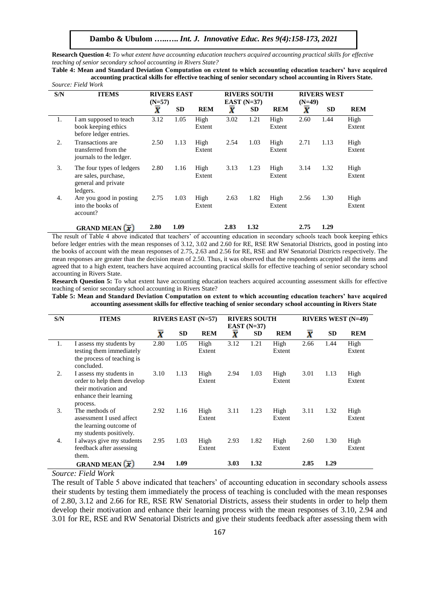**Research Question 4:** *To what extent have accounting education teachers acquired accounting practical skills for effective teaching of senior secondary school accounting in Rivers State?*

**Table 4: Mean and Standard Deviation Computation on extent to which accounting education teachers' have acquired accounting practical skills for effective teaching of senior secondary school accounting in Rivers State.** *Source: Field Work*

| S/N | <b>RIVERS EAST</b><br><b>ITEMS</b><br>$(N=57)$                                       |      |           | <b>RIVERS SOUTH</b><br>EAST $(N=37)$ |      |           |                | <b>RIVERS WEST</b><br>$(N=49)$ |           |                |
|-----|--------------------------------------------------------------------------------------|------|-----------|--------------------------------------|------|-----------|----------------|--------------------------------|-----------|----------------|
|     |                                                                                      | X    | <b>SD</b> | <b>REM</b>                           | X    | <b>SD</b> | <b>REM</b>     | X                              | <b>SD</b> | <b>REM</b>     |
| 1.  | I am supposed to teach<br>book keeping ethics<br>before ledger entries.              | 3.12 | 1.05      | High<br>Extent                       | 3.02 | 1.21      | High<br>Extent | 2.60                           | 1.44      | High<br>Extent |
| 2.  | Transactions are<br>transferred from the<br>journals to the ledger.                  | 2.50 | 1.13      | High<br>Extent                       | 2.54 | 1.03      | High<br>Extent | 2.71                           | 1.13      | High<br>Extent |
| 3.  | The four types of ledgers<br>are sales, purchase,<br>general and private<br>ledgers. | 2.80 | 1.16      | High<br>Extent                       | 3.13 | 1.23      | High<br>Extent | 3.14                           | 1.32      | High<br>Extent |
| 4.  | Are you good in posting<br>into the books of<br>account?                             | 2.75 | 1.03      | High<br>Extent                       | 2.63 | 1.82      | High<br>Extent | 2.56                           | 1.30      | High<br>Extent |
|     | <b>GRAND MEAN</b> $(\overline{x})$                                                   | 2.80 | 1.09      |                                      | 2.83 | 1.32      |                | 2.75                           | 1.29      |                |

The result of Table 4 above indicated that teachers' of accounting education in secondary schools teach book keeping ethics before ledger entries with the mean responses of 3.12, 3.02 and 2.60 for RE, RSE RW Senatorial Districts, good in posting into the books of account with the mean responses of 2.75, 2.63 and 2.56 for RE, RSE and RW Senatorial Districts respectively. The mean responses are greater than the decision mean of 2.50. Thus, it was observed that the respondents accepted all the items and agreed that to a high extent, teachers have acquired accounting practical skills for effective teaching of senior secondary school accounting in Rivers State.

**Research Question 5:** To what extent have accounting education teachers acquired accounting assessment skills for effective teaching of senior secondary school accounting in Rivers State?

**Table 5: Mean and Standard Deviation Computation on extent to which accounting education teachers' have acquired accounting assessment skills for effective teaching of senior secondary school accounting in Rivers State**

| S/N | <b>ITEMS</b>                                                                                                        |                    |           | RIVERS EAST $(N=57)$ | <b>RIVERS SOUTH</b><br>EAST $(N=37)$ |           |                | <b>RIVERS WEST (N=49)</b> |           |                |
|-----|---------------------------------------------------------------------------------------------------------------------|--------------------|-----------|----------------------|--------------------------------------|-----------|----------------|---------------------------|-----------|----------------|
|     |                                                                                                                     | $\bar{\textbf{x}}$ | <b>SD</b> | <b>REM</b>           | X                                    | <b>SD</b> | <b>REM</b>     | X                         | <b>SD</b> | <b>REM</b>     |
| 1.  | I assess my students by<br>testing them immediately<br>the process of teaching is<br>concluded.                     | 2.80               | 1.05      | High<br>Extent       | 3.12                                 | 1.21      | High<br>Extent | 2.66                      | 1.44      | High<br>Extent |
| 2.  | I assess my students in<br>order to help them develop<br>their motivation and<br>enhance their learning<br>process. | 3.10               | 1.13      | High<br>Extent       | 2.94                                 | 1.03      | High<br>Extent | 3.01                      | 1.13      | High<br>Extent |
| 3.  | The methods of<br>assessment I used affect<br>the learning outcome of<br>my students positively.                    | 2.92               | 1.16      | High<br>Extent       | 3.11                                 | 1.23      | High<br>Extent | 3.11                      | 1.32      | High<br>Extent |
| 4.  | I always give my students<br>feedback after assessing<br>them.                                                      | 2.95               | 1.03      | High<br>Extent       | 2.93                                 | 1.82      | High<br>Extent | 2.60                      | 1.30      | High<br>Extent |
|     | <b>GRAND MEAN</b> $(\overline{x})$                                                                                  | 2.94               | 1.09      |                      | 3.03                                 | 1.32      |                | 2.85                      | 1.29      |                |

*Source: Field Work*

The result of Table 5 above indicated that teachers' of accounting education in secondary schools assess their students by testing them immediately the process of teaching is concluded with the mean responses of 2.80, 3.12 and 2.66 for RE, RSE RW Senatorial Districts, assess their students in order to help them develop their motivation and enhance their learning process with the mean responses of 3.10, 2.94 and 3.01 for RE, RSE and RW Senatorial Districts and give their students feedback after assessing them with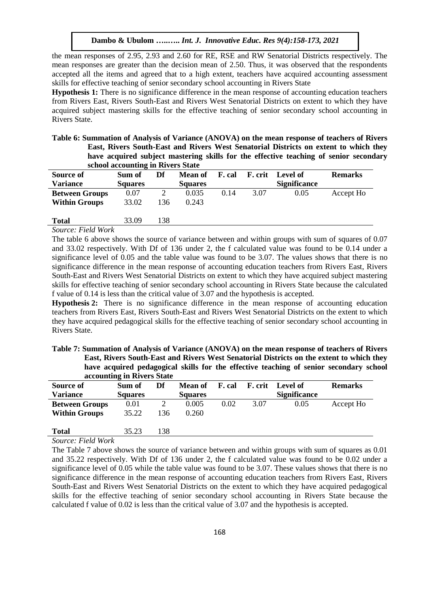the mean responses of 2.95, 2.93 and 2.60 for RE, RSE and RW Senatorial Districts respectively. The mean responses are greater than the decision mean of 2.50. Thus, it was observed that the respondents accepted all the items and agreed that to a high extent, teachers have acquired accounting assessment skills for effective teaching of senior secondary school accounting in Rivers State

**Hypothesis 1:** There is no significance difference in the mean response of accounting education teachers from Rivers East, Rivers South-East and Rivers West Senatorial Districts on extent to which they have acquired subject mastering skills for the effective teaching of senior secondary school accounting in Rivers State.

| Table 6: Summation of Analysis of Variance (ANOVA) on the mean response of teachers of Rivers |
|-----------------------------------------------------------------------------------------------|
| East, Rivers South-East and Rivers West Senatorial Districts on extent to which they          |
| have acquired subject mastering skills for the effective teaching of senior secondary         |
| school accounting in Rivers State                                                             |

| <b>Source of</b>      | Sum of         | Df  | Mean of        | F. cal | F. crit | Level of            | <b>Remarks</b> |
|-----------------------|----------------|-----|----------------|--------|---------|---------------------|----------------|
| <b>Variance</b>       | <b>Squares</b> |     | <b>Squares</b> |        |         | <b>Significance</b> |                |
| <b>Between Groups</b> | 0.07           |     | 0.035          | 0.14   | 3.07    | 0.05                | Accept Ho      |
| <b>Within Groups</b>  | 33.02          | 136 | 0.243          |        |         |                     |                |
|                       |                |     |                |        |         |                     |                |
| <b>Total</b>          | 33.09          | 138 |                |        |         |                     |                |

#### *Source: Field Work*

The table 6 above shows the source of variance between and within groups with sum of squares of 0.07 and 33.02 respectively. With Df of 136 under 2, the f calculated value was found to be 0.14 under a significance level of 0.05 and the table value was found to be 3.07. The values shows that there is no significance difference in the mean response of accounting education teachers from Rivers East, Rivers South-East and Rivers West Senatorial Districts on extent to which they have acquired subject mastering skills for effective teaching of senior secondary school accounting in Rivers State because the calculated f value of 0.14 is less than the critical value of 3.07 and the hypothesis is accepted.

**Hypothesis 2:** There is no significance difference in the mean response of accounting education teachers from Rivers East, Rivers South-East and Rivers West Senatorial Districts on the extent to which they have acquired pedagogical skills for the effective teaching of senior secondary school accounting in Rivers State.

| Table 7: Summation of Analysis of Variance (ANOVA) on the mean response of teachers of Rivers |  |
|-----------------------------------------------------------------------------------------------|--|
| East, Rivers South-East and Rivers West Senatorial Districts on the extent to which they      |  |
| have acquired pedagogical skills for the effective teaching of senior secondary school        |  |
| accounting in Rivers State                                                                    |  |

|                       | accounting in in , ord date |     |                |        |      |                         |                |  |  |  |  |
|-----------------------|-----------------------------|-----|----------------|--------|------|-------------------------|----------------|--|--|--|--|
| <b>Source of</b>      | Sum of                      | Df  | Mean of        | F. cal |      | <b>F.</b> crit Level of | <b>Remarks</b> |  |  |  |  |
| <b>Variance</b>       | <b>Squares</b>              |     | <b>Squares</b> |        |      | <b>Significance</b>     |                |  |  |  |  |
| <b>Between Groups</b> | 0.01                        |     | 0.005          | 0.02   | 3.07 | 0.05                    | Accept Ho      |  |  |  |  |
| <b>Within Groups</b>  | 35.22                       | 136 | 0.260          |        |      |                         |                |  |  |  |  |
|                       |                             |     |                |        |      |                         |                |  |  |  |  |
| <b>Total</b>          | 35.23                       | 138 |                |        |      |                         |                |  |  |  |  |

*Source: Field Work*

The Table 7 above shows the source of variance between and within groups with sum of squares as 0.01 and 35.22 respectively. With Df of 136 under 2, the f calculated value was found to be 0.02 under a significance level of 0.05 while the table value was found to be 3.07. These values shows that there is no significance difference in the mean response of accounting education teachers from Rivers East, Rivers South-East and Rivers West Senatorial Districts on the extent to which they have acquired pedagogical skills for the effective teaching of senior secondary school accounting in Rivers State because the calculated f value of 0.02 is less than the critical value of 3.07 and the hypothesis is accepted.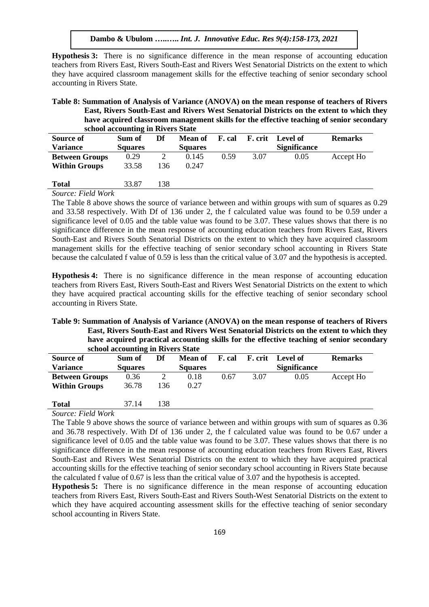**Hypothesis 3:** There is no significance difference in the mean response of accounting education teachers from Rivers East, Rivers South-East and Rivers West Senatorial Districts on the extent to which they have acquired classroom management skills for the effective teaching of senior secondary school accounting in Rivers State.

## **Table 8: Summation of Analysis of Variance (ANOVA) on the mean response of teachers of Rivers East, Rivers South-East and Rivers West Senatorial Districts on the extent to which they have acquired classroom management skills for the effective teaching of senior secondary school accounting in Rivers State**

| <b>Source of</b>      | Sum of         | Df  | <b>Mean of</b> | F. cal |      | <b>F.</b> crit Level of | <b>Remarks</b> |
|-----------------------|----------------|-----|----------------|--------|------|-------------------------|----------------|
| <b>Variance</b>       | <b>Squares</b> |     | <b>Squares</b> |        |      | <b>Significance</b>     |                |
| <b>Between Groups</b> | 0.29           |     | 0.145          | 0.59   | 3.07 | 0.05                    | Accept Ho      |
| <b>Within Groups</b>  | 33.58          | 136 | 0.247          |        |      |                         |                |
|                       |                |     |                |        |      |                         |                |
| <b>Total</b>          | 33.87          | 138 |                |        |      |                         |                |

## *Source: Field Work*

The Table 8 above shows the source of variance between and within groups with sum of squares as 0.29 and 33.58 respectively. With Df of 136 under 2, the f calculated value was found to be 0.59 under a significance level of 0.05 and the table value was found to be 3.07. These values shows that there is no significance difference in the mean response of accounting education teachers from Rivers East, Rivers South-East and Rivers South Senatorial Districts on the extent to which they have acquired classroom management skills for the effective teaching of senior secondary school accounting in Rivers State because the calculated f value of 0.59 is less than the critical value of 3.07 and the hypothesis is accepted.

**Hypothesis 4:** There is no significance difference in the mean response of accounting education teachers from Rivers East, Rivers South-East and Rivers West Senatorial Districts on the extent to which they have acquired practical accounting skills for the effective teaching of senior secondary school accounting in Rivers State.

#### **Table 9: Summation of Analysis of Variance (ANOVA) on the mean response of teachers of Rivers East, Rivers South-East and Rivers West Senatorial Districts on the extent to which they have acquired practical accounting skills for the effective teaching of senior secondary school accounting in Rivers State**

|                       | school accounting in Kivers State |     |                |        |         |                     |                |  |  |  |  |  |
|-----------------------|-----------------------------------|-----|----------------|--------|---------|---------------------|----------------|--|--|--|--|--|
| <b>Source of</b>      | Sum of                            | Df  | Mean of        | F. cal | F. crit | Level of            | <b>Remarks</b> |  |  |  |  |  |
| <b>Variance</b>       | <b>Squares</b>                    |     | <b>Squares</b> |        |         | <b>Significance</b> |                |  |  |  |  |  |
| <b>Between Groups</b> | 0.36                              |     | 0.18           | 0.67   | 3.07    | 0.05                | Accept Ho      |  |  |  |  |  |
| <b>Within Groups</b>  | 36.78                             | 136 | 0.27           |        |         |                     |                |  |  |  |  |  |
| <b>Total</b>          | 37.14                             | 138 |                |        |         |                     |                |  |  |  |  |  |

## *Source: Field Work*

The Table 9 above shows the source of variance between and within groups with sum of squares as 0.36 and 36.78 respectively. With Df of 136 under 2, the f calculated value was found to be 0.67 under a significance level of 0.05 and the table value was found to be 3.07. These values shows that there is no significance difference in the mean response of accounting education teachers from Rivers East, Rivers South-East and Rivers West Senatorial Districts on the extent to which they have acquired practical accounting skills for the effective teaching of senior secondary school accounting in Rivers State because the calculated f value of 0.67 is less than the critical value of 3.07 and the hypothesis is accepted.

**Hypothesis 5:** There is no significance difference in the mean response of accounting education teachers from Rivers East, Rivers South-East and Rivers South-West Senatorial Districts on the extent to which they have acquired accounting assessment skills for the effective teaching of senior secondary school accounting in Rivers State.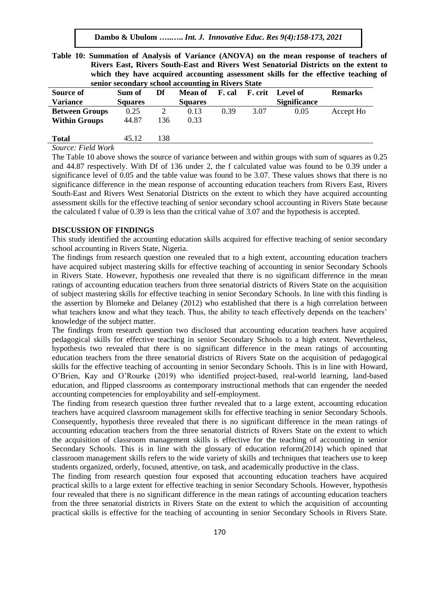| Table 10: Summation of Analysis of Variance (ANOVA) on the mean response of teachers of |
|-----------------------------------------------------------------------------------------|
| Rivers East, Rivers South-East and Rivers West Senatorial Districts on the extent to    |
| which they have acquired accounting assessment skills for the effective teaching of     |
| senior secondary school accounting in Rivers State                                      |

| Source of             | Sum of         | Df  | Mean of        | F. cal | F. crit | Level of            | <b>Remarks</b> |  |
|-----------------------|----------------|-----|----------------|--------|---------|---------------------|----------------|--|
| <b>Variance</b>       | <b>Squares</b> |     | <b>Squares</b> |        |         | <b>Significance</b> |                |  |
| <b>Between Groups</b> | 0.25           |     | 0.13           | 0.39   | 3.07    | 0.05                | Accept Ho      |  |
| <b>Within Groups</b>  | 44.87          | 136 | 0.33           |        |         |                     |                |  |
| <b>Total</b>          | 45.12          | 138 |                |        |         |                     |                |  |
| Source: Field Work    |                |     |                |        |         |                     |                |  |

*Source: Field Work*

The Table 10 above shows the source of variance between and within groups with sum of squares as 0.25 and 44.87 respectively. With Df of 136 under 2, the f calculated value was found to be 0.39 under a significance level of 0.05 and the table value was found to be 3.07. These values shows that there is no significance difference in the mean response of accounting education teachers from Rivers East, Rivers South-East and Rivers West Senatorial Districts on the extent to which they have acquired accounting assessment skills for the effective teaching of senior secondary school accounting in Rivers State because the calculated f value of 0.39 is less than the critical value of 3.07 and the hypothesis is accepted.

#### **DISCUSSION OF FINDINGS**

This study identified the accounting education skills acquired for effective teaching of senior secondary school accounting in Rivers State, Nigeria.

The findings from research question one revealed that to a high extent, accounting education teachers have acquired subject mastering skills for effective teaching of accounting in senior Secondary Schools in Rivers State. However, hypothesis one revealed that there is no significant difference in the mean ratings of accounting education teachers from three senatorial districts of Rivers State on the acquisition of subject mastering skills for effective teaching in senior Secondary Schools. In line with this finding is the assertion by Blomeke and Delaney (2012) who established that there is a high correlation between what teachers know and what they teach. Thus, the ability to teach effectively depends on the teachers' knowledge of the subject matter.

The findings from research question two disclosed that accounting education teachers have acquired pedagogical skills for effective teaching in senior Secondary Schools to a high extent. Nevertheless, hypothesis two revealed that there is no significant difference in the mean ratings of accounting education teachers from the three senatorial districts of Rivers State on the acquisition of pedagogical skills for the effective teaching of accounting in senior Secondary Schools. This is in line with Howard, O'Brien, Kay and O'Rourke (2019) who identified project-based, real-world learning, land-based education, and flipped classrooms as contemporary instructional methods that can engender the needed accounting competencies for employability and self-employment.

The finding from research question three further revealed that to a large extent, accounting education teachers have acquired classroom management skills for effective teaching in senior Secondary Schools. Consequently, hypothesis three revealed that there is no significant difference in the mean ratings of accounting education teachers from the three senatorial districts of Rivers State on the extent to which the acquisition of classroom management skills is effective for the teaching of accounting in senior Secondary Schools. This is in line with the glossary of education reform(2014) which opined that classroom management skills refers to the wide variety of skills and techniques that teachers use to keep students organized, orderly, focused, attentive, on task, and academically productive in the class.

The finding from research question four exposed that accounting education teachers have acquired practical skills to a large extent for effective teaching in senior Secondary Schools. However, hypothesis four revealed that there is no significant difference in the mean ratings of accounting education teachers from the three senatorial districts in Rivers State on the extent to which the acquisition of accounting practical skills is effective for the teaching of accounting in senior Secondary Schools in Rivers State.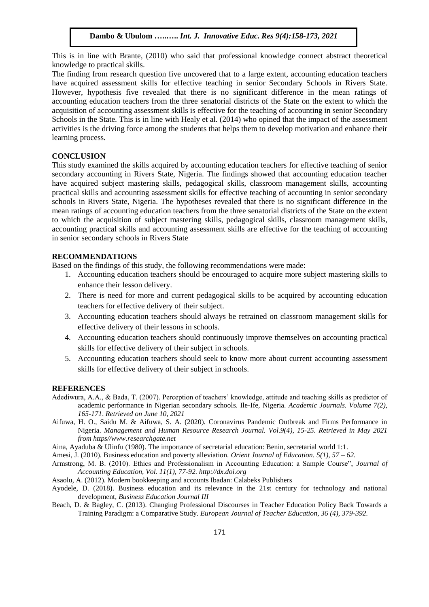This is in line with Brante, (2010) who said that professional knowledge connect abstract theoretical knowledge to practical skills.

The finding from research question five uncovered that to a large extent, accounting education teachers have acquired assessment skills for effective teaching in senior Secondary Schools in Rivers State. However, hypothesis five revealed that there is no significant difference in the mean ratings of accounting education teachers from the three senatorial districts of the State on the extent to which the acquisition of accounting assessment skills is effective for the teaching of accounting in senior Secondary Schools in the State. This is in line with Healy et al. (2014) who opined that the impact of the assessment activities is the driving force among the students that helps them to develop motivation and enhance their learning process.

## **CONCLUSION**

This study examined the skills acquired by accounting education teachers for effective teaching of senior secondary accounting in Rivers State, Nigeria. The findings showed that accounting education teacher have acquired subject mastering skills, pedagogical skills, classroom management skills, accounting practical skills and accounting assessment skills for effective teaching of accounting in senior secondary schools in Rivers State, Nigeria. The hypotheses revealed that there is no significant difference in the mean ratings of accounting education teachers from the three senatorial districts of the State on the extent to which the acquisition of subject mastering skills, pedagogical skills, classroom management skills, accounting practical skills and accounting assessment skills are effective for the teaching of accounting in senior secondary schools in Rivers State

## **RECOMMENDATIONS**

Based on the findings of this study, the following recommendations were made:

- 1. Accounting education teachers should be encouraged to acquire more subject mastering skills to enhance their lesson delivery.
- 2. There is need for more and current pedagogical skills to be acquired by accounting education teachers for effective delivery of their subject.
- 3. Accounting education teachers should always be retrained on classroom management skills for effective delivery of their lessons in schools.
- 4. Accounting education teachers should continuously improve themselves on accounting practical skills for effective delivery of their subject in schools.
- 5. Accounting education teachers should seek to know more about current accounting assessment skills for effective delivery of their subject in schools.

#### **REFERENCES**

- Adediwura, A.A., & Bada, T. (2007). Perception of teachers' knowledge, attitude and teaching skills as predictor of academic performance in Nigerian secondary schools. Ile-Ife, Nigeria. *Academic Journals. Volume 7(2), 165-171*. *Retrieved on June 10, 2021*
- Aifuwa, H. O., Saidu M. & Aifuwa, S. A. (2020). Coronavirus Pandemic Outbreak and Firms Performance in Nigeria. *Management and Human Resource Research Journal. Vol.9(4), 15-25. Retrieved in May 2021 from https//www.researchgate.net*

Aina, Ayaduba & Ulinfu (1980). The importance of secretarial education: Benin, secretarial world 1:1.

Amesi, J. (2010). Business education and poverty alleviation. *Orient Journal of Education. 5(1), 57 – 62.*

- Armstrong, M. B. (2010). Ethics and Professionalism in Accounting Education: a Sample Course", *Journal of Accounting Education, Vol. 11(1), 77-92. [http://dx.doi.org](http://dx.doi.org/)*
- Asaolu, A. (2012). Modern bookkeeping and accounts Ibadan: Calabeks Publishers
- Ayodele, D. (2018). Business education and its relevance in the 21st century for technology and national development, *Business Education Journal III*
- Beach, D. & Bagley, C. (2013). Changing Professional Discourses in Teacher Education Policy Back Towards a Training Paradigm: a Comparative Study. *European Journal of Teacher Education, 36 (4), 379-392.*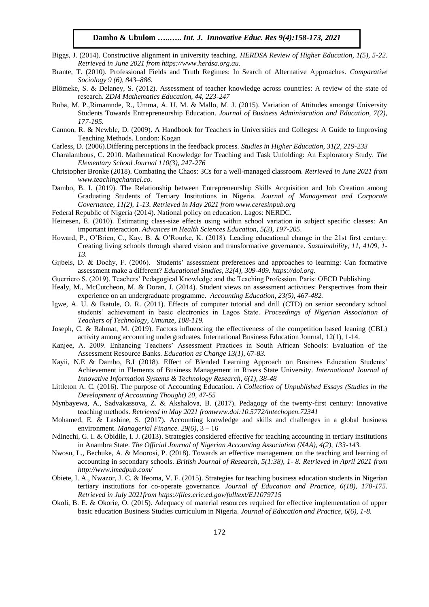- Biggs, J. (2014). Constructive alignment in university teaching. *HERDSA Review of Higher Education, 1(5), 5-22. Retrieved in June 2021 from https://www.herdsa.org.au.*
- Brante, T. (2010). Professional Fields and Truth Regimes: In Search of Alternative Approaches. *Comparative Sociology 9 (6), 843–886*.
- Blömeke, S. & Delaney, S. (2012). Assessment of teacher knowledge across countries: A review of the state of research. *ZDM Mathematics Education, 44, 223-247*
- Buba, M. P.,Rimamnde, R., Umma, A. U. M. & Mallo, M. J. (2015). Variation of Attitudes amongst University Students Towards Entrepreneurship Education. *Journal of Business Administration and Education, 7(2), 177-195.*
- Cannon, R. & Newble, D. (2009). A Handbook for Teachers in Universities and Colleges: A Guide to Improving Teaching Methods. London: Kogan
- Carless, D. (2006).Differing perceptions in the feedback process. *Studies in Higher Education, 31(2, 219-233*
- Charalambous, C. 2010. Mathematical Knowledge for Teaching and Task Unfolding: An Exploratory Study. *The Elementary School Journal 110(3), 247-276*
- Christopher Bronke (2018). Combating the Chaos: 3Cs for a well-managed classroom. *Retrieved in June 2021 from [www.teachingchannel.co.](http://www.teachingchannel.co/)*
- Dambo, B. I. (2019). The Relationship between Entrepreneurship Skills Acquisition and Job Creation among Graduating Students of Tertiary Institutions in Nigeria. *Journal of Management and Corporate Governance, 11(2), 1-13. Retrieved in May 2021 from www.ceresinpub.org*
- Federal Republic of Nigeria (2014). National policy on education. Lagos: NERDC.
- Heinesen, E. (2010). Estimating class-size effects using within school variation in subject specific classes: An important interaction. *Advances in Health Sciences Education, 5(3), 197-205*.
- Howard, P., O'Brien, C., Kay, B. & O'Rourke, K. (2018). Leading educational change in the 21st first century: Creating living schools through shared vision and transformative governance*. Sustainability, 11, 4109, 1- 13.*
- Gijbels, D. & Dochy, F. (2006). Students' assessment preferences and approaches to learning: Can formative assessment make a different? *Educational Studies, 32(4), 309-409. https://doi.org*.
- Guerriero S. (2019). Teachers' Pedagogical Knowledge and the Teaching Profession. Paris: OECD Publishing.
- Healy, M., McCutcheon, M. & Doran, J. (2014). Student views on assessment activities: Perspectives from their experience on an undergraduate programme. *Accounting Education, 23(5), 467-482.*
- Igwe, A. U. & Ikatule, O. R. (2011). Effects of computer tutorial and drill (CTD) on senior secondary school students' achievement in basic electronics in Lagos State. *Proceedings of Nigerian Association of Teachers of Technology, Umunze, 108-119.*
- Joseph, C. & Rahmat, M. (2019). Factors influencing the effectiveness of the competition based leaning (CBL) activity among accounting undergraduates. International Business Education Journal, 12(1), 1-14.
- Kanjee, A. 2009. Enhancing Teachers' Assessment Practices in South African Schools: Evaluation of the Assessment Resource Banks. *Education as Change 13(1), 67-83.*
- Kayii, N.E & Dambo, B.I (2018). Effect of Blended Learning Approach on Business Education Students' Achievement in Elements of Business Management in Rivers State University. *International Journal of Innovative Information Systems & Technology Research, 6(1), 38-48*
- Littleton A. C. (2016). The purpose of Accounting Education. *A Collection of Unpublished Essays (Studies in the Development of Accounting Thought) 20, 47-55*
- Mynbayewa, A., Sadvakassova, Z. & Akshalova, B. (2017). Pedagogy of the twenty-first century: Innovative teaching methods. *Retrieved in May 2021 fro[mwww.doi:10.5772/intechopen.72341](http://www.doi:10.5772/intechopen.72341)*
- Mohamed, E. & Lashine, S. (2017). Accounting knowledge and skills and challenges in a global business environment. *Managerial Finance. 29(6)*, 3 – 16
- Ndinechi, G. I. & Obidile, I. J. (2013). Strategies considered effective for teaching accounting in tertiary institutions in Anambra State. *The Official Journal of Nigerian Accounting Association (NAA), 4(2), 133-143.*
- Nwosu, L., Bechuke, A. & Moorosi, P. (2018). Towards an effective management on the teaching and learning of accounting in secondary schools. *British Journal of Research, 5(1:38), 1- 8. Retrieved in April 2021 from http://www.imedpub.com/*
- Obiete, I. A., Nwazor, J. C. & Ifeoma, V. F. (2015). Strategies for teaching business education students in Nigerian tertiary institutions for co-operate governance. *Journal of Education and Practice, 6(18), 170-175. Retrieved in July 2021fro[m https://files.eric.ed.gov/fulltext/EJ1079715](https://files.eric.ed.gov/fulltext/EJ1079715)*
- Okoli, B. E. & Okorie, O. (2015). Adequacy of material resources required for effective implementation of upper basic education Business Studies curriculum in Nigeria. *Journal of Education and Practice, 6(6), 1-8.*